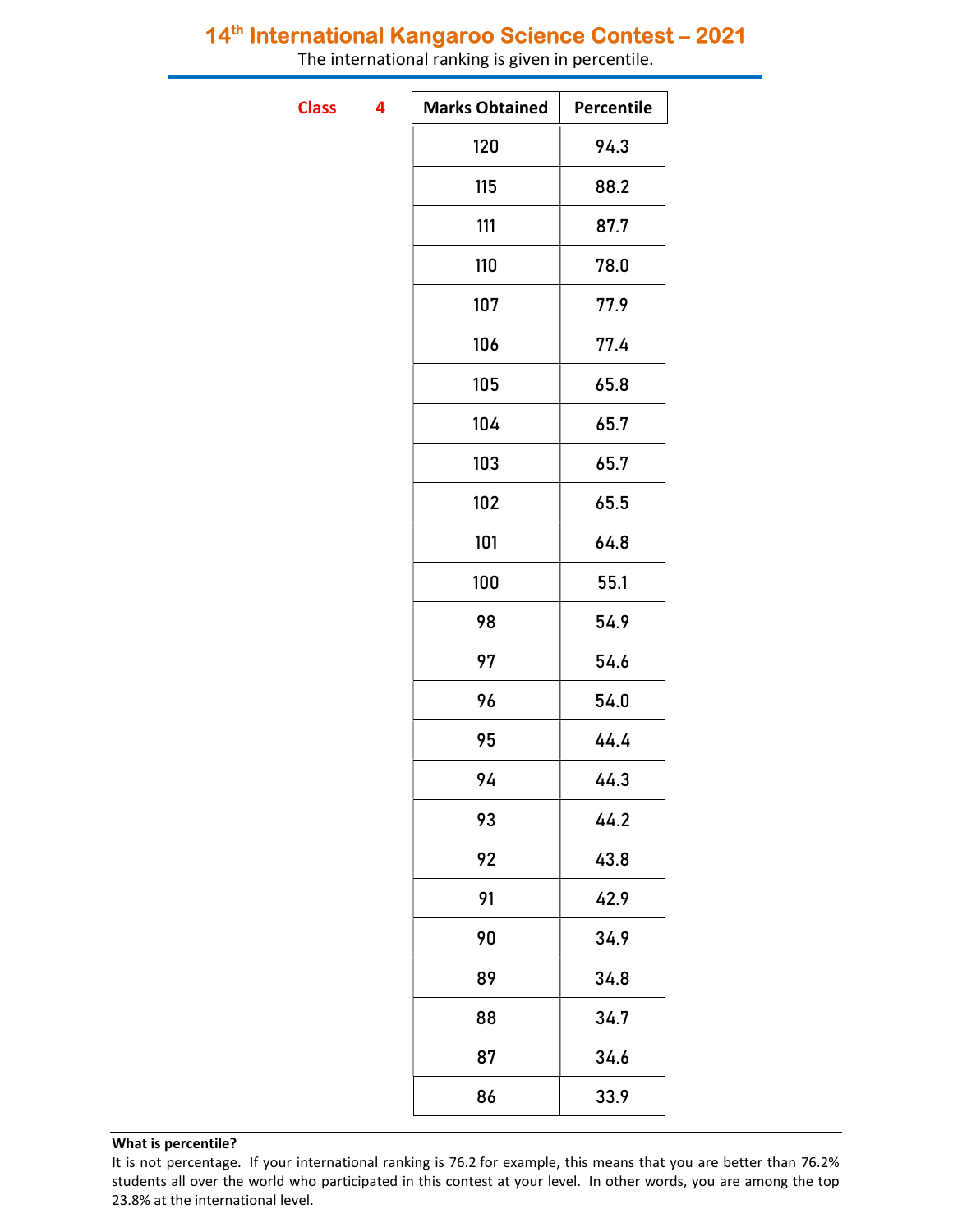## 14<sup>th</sup> International Kangaroo Science Contest - 2021

The international ranking is given in percentile.

**Class** 

| 4 | <b>Marks Obtained</b> | Percentile |
|---|-----------------------|------------|
|   | 120                   | 94.3       |
|   | 115                   | 88.2       |
|   | 111                   | 87.7       |
|   | 110                   | 78.0       |
|   | 107                   | 77.9       |
|   | 106                   | 77.4       |
|   | 105                   | 65.8       |
|   | 104                   | 65.7       |
|   | 103                   | 65.7       |
|   | 102                   | 65.5       |
|   | 101                   | 64.8       |
|   | 100                   | 55.1       |
|   | 98                    | 54.9       |
|   | 97                    | 54.6       |
|   | 96                    | 54.0       |
|   | 95                    | 44.4       |
|   | 94                    | 44.3       |
|   | 93                    | 44.2       |
|   | 92                    | 43.8       |
|   | 91                    | 42.9       |
|   | 90                    | 34.9       |
|   | 89                    | 34.8       |
|   | 88                    | 34.7       |
|   | 87                    | 34.6       |
|   | 86                    | 33.9       |
|   |                       |            |

## What is percentile?

It is not percentage. If your international ranking is 76.2 for example, this means that you are better than 76.2% students all over the world who participated in this contest at your level. In other words, you are among the top 23.8% at the international level.